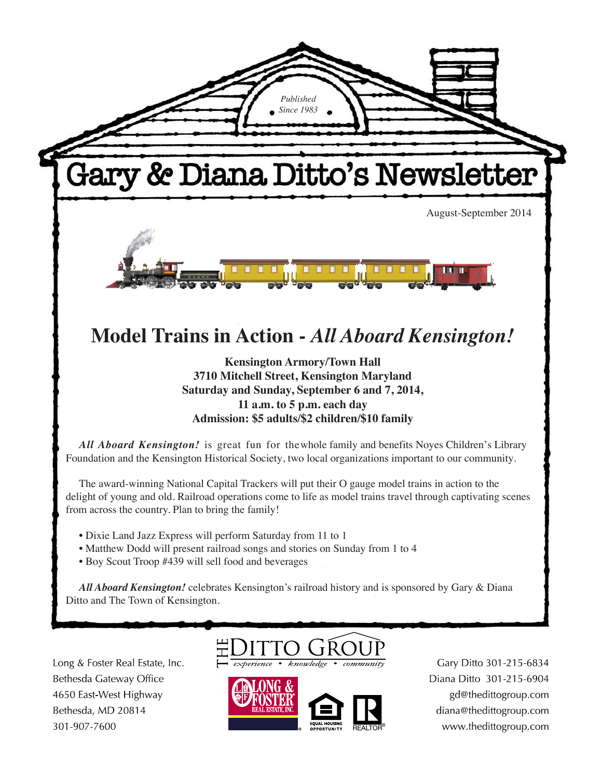

Long & Foster Real Estate, Inc. Bethesda Gateway Office 4650 East-West Highway Bethesda, MD 20814 301-907-7600



Gary Ditto 301-215-6834 Diana Ditto 301-215-6904 gd@thedittogroup.com diana@thedittogroup.com www.thedittogroup.com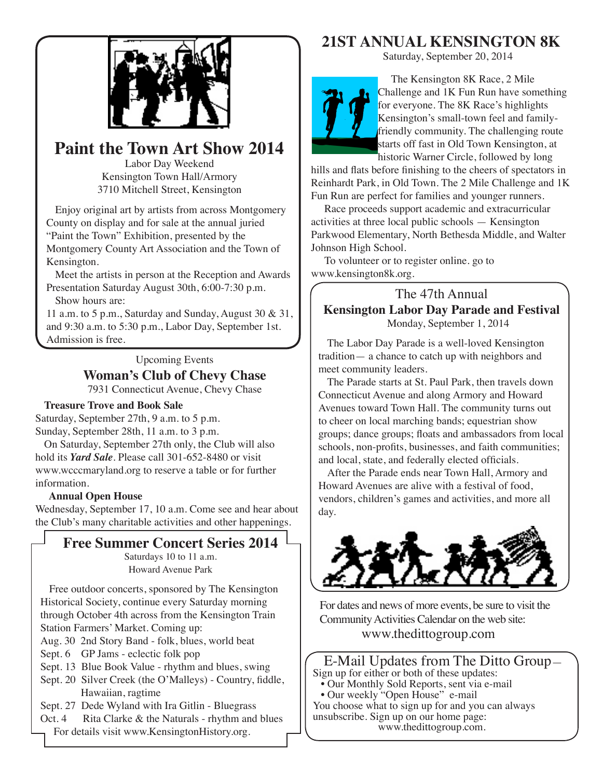

# **Paint the Town Art Show 2014**

Labor Day Weekend Kensington Town Hall/Armory 3710 Mitchell Street, Kensington

Enjoy original art by artists from across Montgomery County on display and for sale at the annual juried "Paint the Town" Exhibition, presented by the Montgomery County Art Association and the Town of Kensington.

Meet the artists in person at the Reception and Awards Presentation Saturday August 30th, 6:00-7:30 p.m.

Show hours are:

11 a.m. to 5 p.m., Saturday and Sunday, August 30 & 31, and  $9:30$  a.m. to  $5:30$  p.m., Labor Day, September 1st. Admission is free.

Upcoming Events

### **Woman's Club of Chevy Chase**

7931 Connecticut Avenue, Chevy Chase

### **Treasure Trove and Book Sale**

Saturday, September 27th, 9 a.m. to 5 p.m. Sunday, September 28th, 11 a.m. to 3 p.m.

On Saturday, September 27th only, the Club will also hold its *Yard Sale*. Please call 301-652-8480 or visit www.wcccmaryland.org to reserve a table or for further information.

#### **Annual Open House**

Wednesday, September 17, 10 a.m. Come see and hear about the Club's many charitable activities and other happenings.

## **Free Summer Concert Series 2014**

Saturdays 10 to 11 a.m. Howard Avenue Park

Free outdoor concerts, sponsored by The Kensington Historical Society, continue every Saturday morning through October 4th across from the Kensington Train Station Farmers' Market. Coming up:

Aug. 30 2nd Story Band - folk, blues, world beat

- Sept. 6 GP Jams eclectic folk pop
- Sept. 13 Blue Book Value rhythm and blues, swing
- Sept. 20 Silver Creek (the O'Malleys) Country, fiddle, Hawaiian, ragtime

Sept. 27 Dede Wyland with Ira Gitlin - Bluegrass

Oct. 4 Rita Clarke  $&$  the Naturals - rhythm and blues For details visit www.KensingtonHistory.org.

## **21ST ANNUAL KENSINGTON 8K**

Saturday, September 20, 2014



The Kensington 8K Race, 2 Mile Challenge and 1K Fun Run have something for everyone. The 8K Race's highlights Kensington's small-town feel and familyfriendly community. The challenging route starts off fast in Old Town Kensington, at historic Warner Circle, followed by long

hills and flats before finishing to the cheers of spectators in Reinhardt Park, in Old Town. The 2 Mile Challenge and 1K Fun Run are perfect for families and younger runners.

Race proceeds support academic and extracurricular activities at three local public schools — Kensington Parkwood Elementary, North Bethesda Middle, and Walter Johnson High School.

To volunteer or to register online. go to www.kensington8k.org.

The 47th Annual **Kensington Labor Day Parade and Festival** Monday, September 1, 2014

The Labor Day Parade is a well-loved Kensington tradition— a chance to catch up with neighbors and meet community leaders.

The Parade starts at St. Paul Park, then travels down Connecticut Avenue and along Armory and Howard Avenues toward Town Hall. The community turns out to cheer on local marching bands; equestrian show groups; dance groups; floats and ambassadors from local schools, non-profits, businesses, and faith communities; and local, state, and federally elected officials.

After the Parade ends near Town Hall, Armory and Howard Avenues are alive with a festival of food, vendors, children's games and activities, and more all day.



For dates and news of more events, be sure to visit the Community Activities Calendar on the web site: www.thedittogroup.com

### E-Mail Updates from The Ditto Group-Sign up for either or both of these updates:

• Our Monthly Sold Reports, sent via e-mail • Our weekly "Open House" e-mail You choose what to sign up for and you can always

unsubscribe. Sign up on our home page: www.thedittogroup.com.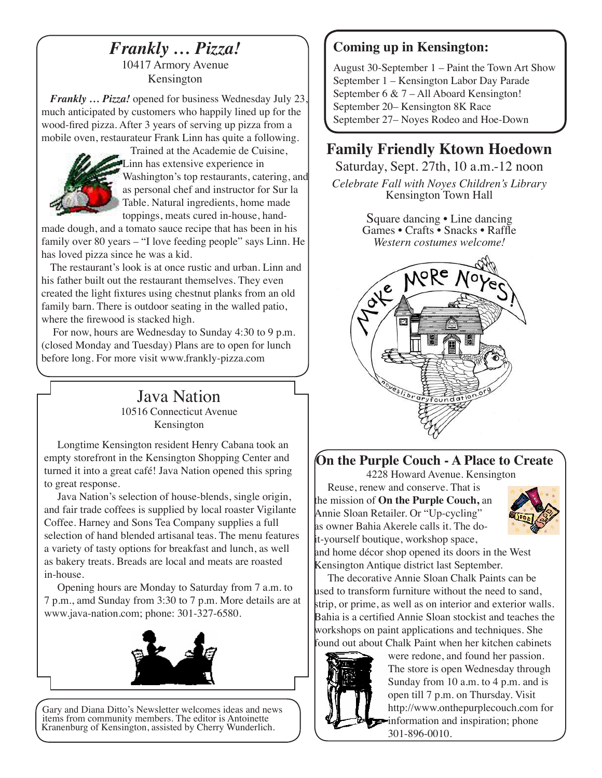# *Frankly … Pizza!*

10417 Armory Avenue Kensington

*Frankly ... Pizza!* opened for business Wednesday July 23. much anticipated by customers who happily lined up for the wood-fired pizza. After 3 years of serving up pizza from a mobile oven, restaurateur Frank Linn has quite a following.



Trained at the Academie de Cuisine, Linn has extensive experience in Vashington's top restaurants, catering, and as personal chef and instructor for Sur la Table. Natural ingredients, home made toppings, meats cured in-house, hand-

made dough, and a tomato sauce recipe that has been in his family over 80 years  $-$  "I love feeding people" says Linn. He has loved pizza since he was a kid.

The restaurant's look is at once rustic and urban. Linn and his father built out the restaurant themselves. They even created the light fixtures using chestnut planks from an old family barn. There is outdoor seating in the walled patio, where the firewood is stacked high.

For now, hours are Wednesday to Sunday  $4:30$  to 9 p.m. (closed Monday and Tuesday) Plans are to open for lunch before long. For more visit www.frankly-pizza.com

## Java Nation 10516 Connecticut Avenue Kensington

Longtime Kensington resident Henry Cabana took an empty storefront in the Kensington Shopping Center and turned it into a great café! Java Nation opened this spring to great response.

Java Nation's selection of house-blends, single origin, and fair trade coffees is supplied by local roaster Vigilante Coffee. Harney and Sons Tea Company supplies a full selection of hand blended artisanal teas. The menu features a variety of tasty options for breakfast and lunch, as well as bakery treats. Breads are local and meats are roasted in-house.

Opening hours are Monday to Saturday from 7 a.m. to 7 p.m., amd Sunday from 3:30 to 7 p.m. More details are at www.java-nation.com; phone: 301-327-6580.



Gary and Diana Ditto's Newsletter welcomes ideas and news items from community members. The editor is Antoinette Kranenburg of Kensington, assisted by Cherry Wunderlich.

# **Coming up in Kensington:**

August 30-September  $1 -$  Paint the Town Art Show September 1 - Kensington Labor Day Parade September 6 &  $7 - All Aboad Kensington!$ September 20– Kensington 8K Race September 27– Noves Rodeo and Hoe-Down

# **Family Friendly Ktown Hoedown**

Saturday, Sept. 27th, 10 a.m.-12 noon *Celebrate Fall with Noyes Children's Library* Kensington Town Hall

> Square dancing • Line dancing Games • Crafts • Snacks • Raffle *Western costumes welcome!*



# **On the Purple Couch - A Place to Create**

4228 Howard Avenue. Kensington

Reuse, renew and conserve. That is the mission of **On the Purple Couch,** an Annie Sloan Retailer. Or "Up-cycling" as owner Bahia Akerele calls it. The do- $\mu$ -yourself boutique, workshop space,



and home décor shop opened its doors in the West Kensington Antique district last September.

The decorative Annie Sloan Chalk Paints can be used to transform furniture without the need to sand, strip, or prime, as well as on interior and exterior walls. Bahia is a certified Annie Sloan stockist and teaches the workshops on paint applications and techniques. She found out about Chalk Paint when her kitchen cabinets



were redone, and found her passion. The store is open Wednesday through Sunday from 10 a.m. to 4 p.m. and is open till 7 p.m. on Thursday. Visit http://www.onthepurplecouch.com for information and inspiration; phone 301-896-0010.